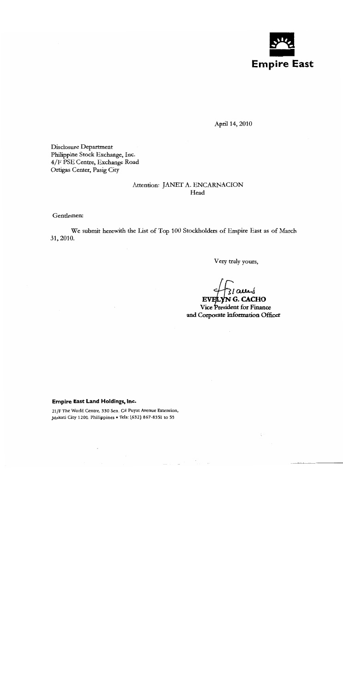

April 14, 2010

Disclosure Department Philippine Stock Exchange, Inc. 4/F PSE Centre, Exchange Road Ortigas Center, Pasig City

## Attention: JANET A. ENCARNACION Head

Gentlemen:

We submit herewith the List of Top 100 Stockholders of Empire East as of March 31, 2010.

Very truly yours,

 $\frac{1}{3}$  au  $\frac{1}{3}$ Vice President for Finance and Corporate Information Officer

Empire East Land Holdings, Inc.

21/F The World Centre, 330 Sen. Gil Puyat Avenue Extension, Makati City 1200, Philippines . Tels: (632) 867-8351 to 59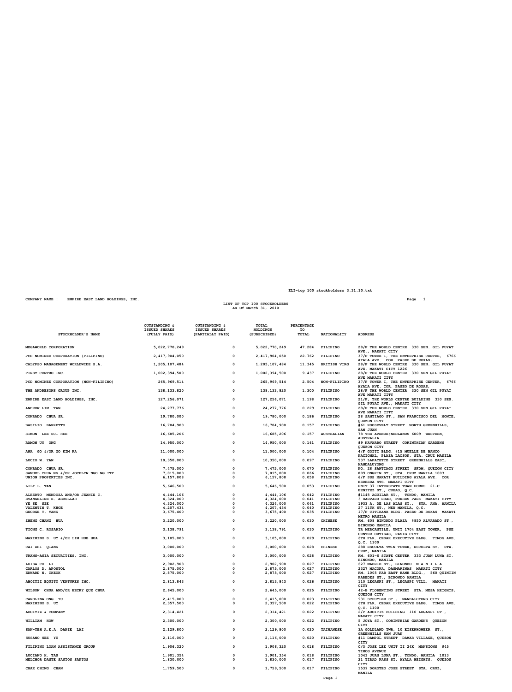| STOCKHOLDER'S NAME                     | OUTSTANDING &<br><b>ISSUED SHARES</b><br>(FULLY PAID) | OUTSTANDING &<br><b>ISSUED SHARES</b><br>(PARTIALLY PAID) | TOTAL<br>HOLDINGS<br>(SUBSCRIBED) | <b>PERCENTAGE</b><br>TO<br>TOTAL | NATIONALITY          | <b>ADDRESS</b>                                                                    |
|----------------------------------------|-------------------------------------------------------|-----------------------------------------------------------|-----------------------------------|----------------------------------|----------------------|-----------------------------------------------------------------------------------|
| MEGAWORLD CORPORATION                  | 5,022,770,249                                         | $\mathbf 0$                                               | 5,022,770,249                     | 47.284                           | FILIPINO             | 28/F THE WORLD CENTRE 330 SEN. GIL PUYAT                                          |
| PCD NOMINEE CORPORATION (FILIPINO)     | 2, 417, 904, 050                                      | 0                                                         | 2, 417, 904, 050                  | 22.762                           | FILIPINO             | AVE., MAKATI CITY<br>37/F TOWER I, THE ENTERPRISE CENTER, 6766                    |
| CALYPSO MANAGEMENT WORLDWIDE S.A.      | 1,205,107,484                                         | $\mathbf 0$                                               | 1,205,107,484                     | 11.345                           | <b>BRITISH VIRG</b>  | AYALA AVE. COR. PASEO DE ROXAS,<br>28/F THE WORLD CENTRE 330 SEN. GIL PUYAT       |
| FIRST CENTRO INC.                      | 1,002,394,500                                         | 0                                                         | 1,002,394,500                     | 9.437                            | FILIPINO             | AVE. MAKATI CITY 1226<br>28/F THE WORLD CENTER 330 SEN GIL PUYAT                  |
| PCD NOMINEE CORPORATION (NON-FILIPINO) | 265, 969, 514                                         | 0                                                         | 265, 969, 514                     | 2.504                            | NON-FILIPINO         | AVE MAKATI CITY<br>37/F TOWER I, THE ENTERPRISE CENTER, 6766                      |
| THE ANDRESONS GROUP INC.               | 138, 133, 820                                         | 0                                                         | 138, 133, 820                     | 1.300                            | FILIPINO             | AYALA AVE. COR. PASEO DE ROXAS,<br>28/F THE WORLD CENTER 330 SEN GIL PUYAT        |
| EMPIRE EAST LAND HOLDINGS, INC.        | 127, 256, 071                                         | 0                                                         | 127, 256, 071                     | 1.198                            | FILIPINO             | AVE MAKATI CITY<br>21/F, THE WORLD CENTRE BUILDING 330 SEN.                       |
| ANDREW LIM TAN                         | 24, 277, 776                                          | 0                                                         | 24, 277, 776                      | 0.229                            | FILIPINO             | GIL PUYAT AVE., MAKATI CITY<br>28/F THE WORLD CENTER 330 SEN GIL PUYAT            |
| CONRADO CHUA SR.                       | 19,780,000                                            | 0                                                         | 19,780,000                        | 0.186                            | FILIPINO             | AVE MAKATI CITY<br>28 SANTIAGO ST., SAN FRANCISCO DEL MONTE,                      |
| BASILIO BARRETTO                       | 16,704,900                                            | 0                                                         | 16,704,900                        | 0.157                            | FILIPINO             | QUEZON CITY<br>#61 ROOSEVELT STREET NORTH GREENHILLS,                             |
| SIMON LEE SUI HEE                      | 16,685,206                                            | 0                                                         | 16,685,206                        | 0.157                            | <b>AUSTRALIAN</b>    | <b>SAN JUAN</b><br>78 THE AVENUE; NEDLANDS 6009 WESTERN,                          |
| RAMON UY ONG                           | 14,950,000                                            | $\mathbf 0$                                               | 14,950,000                        | 0.141                            | FILIPINO             | <b>AUSTRALIA</b><br>#9 NAVARRO STREET CORINTHIAN GARDENS                          |
| ANA GO &/OR GO KIM PA                  | 11,000,000                                            | 0                                                         | 11,000,000                        | 0.104                            | FILIPINO             | QUEZON CITY<br>4/F GOITI BLDG. #15 MUELLE DE BANCO                                |
| LUCIO W. YAN                           | 10,350,000                                            | $\mathbf 0$                                               | 10,350,000                        | 0.097                            | FILIPINO             | NACIONAL, PLAZA LACSON, STA. CRUZ MANILA<br>537 LAFAYETTE STREET GREENHILLS EAST, |
| CONRADO CHUA SR.                       | 7,475,000                                             | $\mathbf 0$                                               | 7,475,000                         | 0.070                            | FILIPINO             | MANDALUYONG<br>NO. 28 SANTIAGO STREET SFDM, QUEZON CITY                           |
| SAMUEL CHUA NG &/OR JOCELYN NGO NG ITF | 7,015,000                                             | $\mathbf{o}$                                              | 7,015,000                         | 0.066                            | FILIPINO             | 809 ONGPIN ST., STA. CRUZ MANILA 1003                                             |
| UNION PROPERTIES INC.                  | 6,157,808                                             | 0                                                         | 6,157,808                         | 0.058                            | FILIPINO             | 6/F SSS MAKATI BUILDING AYALA AVE. COR.<br>HERRERA STS. MAKATI CITY               |
| LILY L. TAN                            | 5,646,500                                             | $\mathbf 0$                                               | 5,646,500                         | 0.053                            | FILIPINO             | UNIT 37 INTERSTATE TOWN HOMES 21-C<br>BENITEZ ST., CUBAO, Q.C.                    |
| ALBERTO MENDOZA AND/OR JEANIE C.       | 4,444,106                                             | $\mathbf 0$                                               | 4, 444, 106                       | 0.042                            | FILIPINO             | #1145 AGUILAR ST., TONDO, MANILA                                                  |
| EVANGELINE R. ABDULLAH                 | 4,324,000                                             | 0                                                         | 4,324,000                         | 0.041                            | FILIPINO             | 3 HARVARD ROAD, FORBES PARK MAKATI CITY                                           |
| YE SE SZE<br>VALENTIN T. KHOE          | 4,324,000<br>4,207,434                                | $\Omega$<br>0                                             | 4,324,000<br>4,207,434            | 0.041<br>0.040                   | FILIPINO<br>FILIPINO | 1933 A. DE LAS ALAS ST., STA. ANA, MANILA<br>27 11TH ST., NEW MANILA, Q.C.        |
| GEORGE T. YANG                         | 3,675,400                                             | $\Omega$                                                  | 3, 675, 400                       | 0.035                            | FILIPINO             | 17/F CITIBANK BLDG. PASEO DE ROXAS MAKATI<br>METRO MANILA                         |
| <b>ZHENG CHANG HUA</b>                 | 3,220,000                                             | $\mathbf 0$                                               | 3,220,000                         | 0.030                            | <b>CHINESE</b>       | RM. 608 BINONDO PLAZA #850 ALVARADO ST.,<br>BINONDO MANILA                        |
| TIONG C. ROSARIO                       | 3, 138, 791                                           | $\mathbf 0$                                               | 3, 138, 791                       | 0.030                            | FILIPINO             | TR MERCANTILE, UNIT 1704 EAST TOWER, PSE<br>CENTER ORTIGAS, PASIG CITY            |
| MAXIMINO S. UY &/OR LIM HUE HUA        | 3,105,000                                             | 0                                                         | 3, 105, 000                       | 0.029                            | FILIPINO             | 6TH FLR. CEDAR EXECUTIVE BLDG. TIMOG AVE.<br>Q.C. 1100                            |
| CAI ZHI QIANG                          | 3,000,000                                             | $\mathbf 0$                                               | 3,000,000                         | 0.028                            | <b>CHINESE</b>       | 288 ESCOLTA TWIN TOWER, ESCOLTA ST. STA.<br>CRUZ, MANILA                          |
| TRANS-ASIA SECURITIES, INC.            | 3,000,000                                             | 0                                                         | 3,000,000                         | 0.028                            | FILIPINO             | RM. 601-S STATE CENTER 333 JUAN LUNA ST.<br>BINONDO, MANILA                       |
| LUISA CO LI                            | 2,902,908                                             | 0                                                         | 2,902,908                         | 0.027                            | FILIPINO             | 627 MADRID ST., BINONDO MANILA                                                    |
| CARLOS D. APOSTOL                      | 2,875,000                                             | $\Omega$                                                  | 2,875,000                         | 0.027                            | FILIPINO             | 2327 MACOPA, DASMARINAS MAKATI CITY                                               |
| EDWARD N. CHEOK                        | 2,875,000                                             | $\Omega$                                                  | 2,875,000                         | 0.027                            | FILIPINO             | RM. 1005 FAR EAST BANK BLDG., 560 QUINTIN<br>PAREDES ST., BINONDO MANILA          |
| ABOITIZ EQUITY VENTURES INC.           | 2,813,843                                             | $\mathbf 0$                                               | 2,813,843                         | 0.026                            | FILIPINO             | 110 LEGASPI ST., LEGASPI VILL. MAKATI<br>CITY                                     |
| WILSON CHUA AND/OR BECKY QUE CHUA      | 2,645,000                                             | 0                                                         | 2,645,000                         | 0.025                            | FILIPINO             | 42-B FLORENTINO STREET STA. MESA HEIGHTS,<br>QUEZON CITY                          |
| CAROLINA ONG YU                        | 2,415,000                                             | $\mathbf 0$                                               | 2,415,000                         | 0.023                            | FILIPINO             | 931 SCHUYLER ST., MANDALUYONG CITY                                                |
| MAXIMINO S. UY                         | 2,357,500                                             | $\mathbf 0$                                               | 2,357,500                         |                                  | 0.022 FILIPINO       | 6TH FLR. CEDAR EXECUTIVE BLDG. TIMOG AVE.<br>Q.C. 1100                            |
| <b>ABOITIZ &amp; COMPANY</b>           | 2, 314, 421                                           | 0                                                         | 2, 314, 421                       | 0.022                            | <b>FILIPINO</b>      | 2/F ABOITIZ BUILDING 110 LEGASPI ST.,<br><b>MAKATI CITY</b>                       |
| WILLIAM HOW                            | 2,300,000                                             | $\Omega$                                                  | 2,300,000                         | 0.022                            | FILIPINO             | 5 JOYA ST., CORINTHIAN GARDENS QUEZON<br>CITY                                     |
| SAN-TEH A.K.A. DANIE LAI               | 2,129,800                                             | 0                                                         | 2,129,800                         | 0.020                            | <b>TAIWANESE</b>     | 3A GOLDLAND TWR, 10 EISENHOWEER ST.,<br>GREENHILLS SAN JUAN                       |
| SUSANO SEE YU                          | 2,116,000                                             | $\mathbf 0$                                               | 2,116,000                         | 0.020                            | FILIPINO             | #11 DAMPOL STREET DAMAR VILLAGE, QUEZON<br>CITY                                   |
| FILIPINO LOAN ASSISTANCE GROUP         | 1,906,320                                             | $\mathbf 0$                                               | 1,906,320                         | 0.018                            | FILIPINO             | C/O JOSE LEE UNIT II 24K MANSIONS #45<br><b>TIMOG AVENUE</b>                      |
| LUCIANO H. TAN                         | 1,901,354                                             | 0                                                         | 1,901,354                         | 0.018                            | FILIPINO             | 1043 JUAN LUNA ST., TONDO, MANILA 1013                                            |
| MELCHOR DANTE SANTOS SANTOS            | 1,830,000                                             | $\mathbf 0$                                               | 1,830,000                         | 0.017                            | FILIPINO             | 21 TIRAD PASS ST. AYALA HEIGHTS, QUEZON<br>CITY                                   |
| <b>CHAK CHING CHAN</b>                 | 1,759,500                                             | 0                                                         | 1,759,500                         | 0.017                            | FILIPINO             | 1539 DOROTEO JOSE STREET STA. CRUZ,<br>MANILA                                     |

**COMPANY NAME : EMPIRE EAST LAND HOLDINGS, INC. Page 1 LIST OF TOP 100 STOCKHOLDERS As Of March 31, 2010**

**ELI-top 100 stockholders 3.31.10.txt**

**Page 1**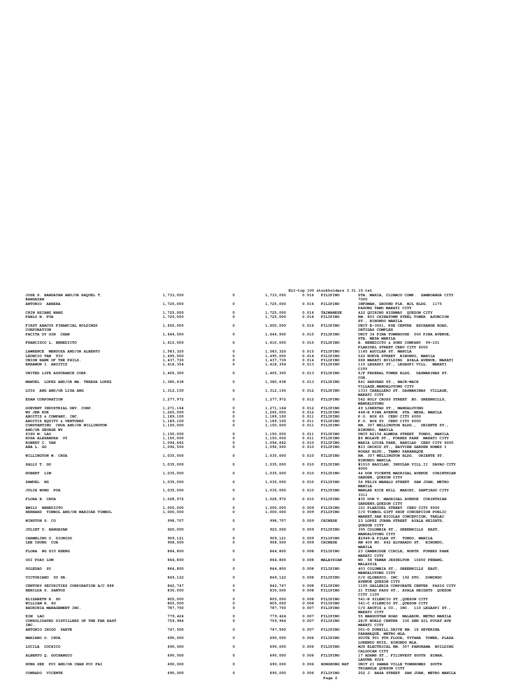|                                                 |                        |                  |                        |                | ELI-top 100 stockholders 3.31.10.txt |                                                                                    |
|-------------------------------------------------|------------------------|------------------|------------------------|----------------|--------------------------------------|------------------------------------------------------------------------------------|
| JOSE S. BANGAYAN AND/OR RAQUEL T.               | 1,733,050              | 0                | 1,733,050              | 0.016          | <b>FILIPINO</b>                      | STA. MARIA, CLIMACO COMP. ZAMBOANGA CITY                                           |
| <b>BANGAYAN</b>                                 |                        |                  |                        |                |                                      | 7000                                                                               |
| ANTONIO ABRERA                                  | 1,725,000              | 0                | 1,725,000              | 0.016          | FILIPINO                             | INFOMAN, GROUND FLR. MJL BLDG. 1175                                                |
| CHIN HSIANG WANG                                | 1,725,000              | 0                | 1,725,000              | 0.016          | <b>TAIWANESE</b>                     | PASONG TAMO MAKATI CITY<br>422 QUIRINO HIGHWAY QUEZON CITY                         |
| PABLO N. PUA                                    | 1,725,000              | $\mathbf 0$      | 1,725,000              | 0.016          | FILIPINO                             | RM. 803 CHINATOWN STEEL TOWER ASUNCION                                             |
|                                                 |                        |                  |                        |                |                                      | ST., BINONDO MANILA                                                                |
| FIRST ABACUS FINANCIAL HOLDINGS                 | 1,650,000              | $\mathbf 0$      | 1,650,000              | 0.016          | FILIPINO                             | UNIT E-3001, PSE CENTRE EXCHANGE ROAD,                                             |
| CORPORATION                                     |                        |                  |                        |                |                                      | ORTIGAS COMPLEX                                                                    |
| PACITA DY GIN CHAN                              | 1,644,500              | 0                | 1,644,500              | 0.015          | FILIPINO                             | UNIT 34 PINA TOWNHOUSE 500 PINA AVENUE,                                            |
|                                                 |                        |                  |                        |                |                                      | STA. MESA MANILA                                                                   |
| FRANCISCO L. BENEDICTO                          | 1,610,000              | 0                | 1,610,000              | 0.015          | FILIPINO                             | B. BENEDICTO & SONS COMPANY 99-101<br>PLARIDEL STREET CEBU CITY 6000               |
| LAWRENCE MENDOZA AND/OR ALBERTO                 | 1,583,320              | $\mathbf 0$      | 1,583,320              | 0.015          | FILIPINO                             | 1145 AGUILAR ST. MANILA                                                            |
| LEONCIO TAN TIU                                 | 1,495,000              | 0                | 1,495,000              | 0.014          | FILIPINO                             | 522 NUEVA STREET BINONDO, MANILA                                                   |
| UNION BANK OF THE PHILS.                        | 1,437,730              | $\mathbf 0$      | 1,437,730              | 0.014          | FILIPINO                             | SSS MAKATI BUILDING AYALA AVENUE, MAKATI                                           |
| ERRAMON I. ABOITIZ                              | 1,418,354              | 0                | 1,418,354              | 0.013          | FILIPINO                             | 110 LEGASPI ST., LEGASPI VILL. MAKATI                                              |
|                                                 |                        |                  |                        |                |                                      | CITY                                                                               |
| UNITED LIFE ASSURANCE CORP.                     | 1,405,300              | 0                | 1,405,300              | 0.013          | FILIPINO                             | 6/F FEDERAL TOWER BLDG. DASMARINAS ST.                                             |
|                                                 |                        |                  |                        |                |                                      | COR.                                                                               |
| MANUEL LOPEZ AND/OR MA. TERESA LOPEZ            | 1,380,638              | 0                | 1,380,638              | 0.013          | FILIPINO                             | 841 HARVARD ST., WACK-WACK                                                         |
| <b>LUIS ANG AND/OR LISA ANG</b>                 | 1,312,150              | 0                | 1,312,150              | 0.012          | FILIPINO                             | VILLAGE, MANDALUYONG CITY<br>1333 CABALLERO ST. DASMARINAS VILLAGE,                |
|                                                 |                        |                  |                        |                |                                      | MAKATI CITY                                                                        |
| <b>EDAN CORPORATION</b>                         | 1,277,972              | 0                | 1,277,972              | 0.012          | FILIPINO                             | 562 HOLY CROSS STREET BO. GREENHILLS,                                              |
|                                                 |                        |                  |                        |                |                                      | MANDALUYONG                                                                        |
| <b>GUEVENT INDUSTRIAL DEV. CORP.</b>            | 1,271,164              | 0                | 1,271,164              | 0.012          | FILIPINO                             | 49 LIBERTAD ST., MANDALUYONG                                                       |
| WU JEN KOK                                      | 1,265,000              | 0                | 1,265,000              | 0.012          | FILIPINO                             | 448-B PINA AVENUE STA. MESA, MANILA                                                |
| ABOITIZ & COMPANY, INC.                         | 1,189,100              | 0                | 1,189,100              | 0.011          | FILIPINO                             | P.O. BOX 65 CEBU CITY 6000                                                         |
| ABOITIZ EQUITY & VENTURES                       | 1,189,100              | $\mathbf 0$      | 1,189,100              | 0.011          | FILIPINO                             | P.O. BOX 65 CEBU CITY 6000                                                         |
| CONSTANTINO CHUA AND/OR WILLINGTON              | 1,150,000              | $\mathbf 0$      | 1,150,000              | 0.011          | FILIPINO                             | RM. 307 WELLINGTON BLDG., ORIENTE ST.,                                             |
| AND/OR GEORGE WY                                |                        |                  |                        |                |                                      | BINONDO, MANILA                                                                    |
| SISO M. LAO                                     | 1,150,000              | $\mathbf 0$<br>0 | 1,150,000<br>1,150,000 | 0.011<br>0.011 | FILIPINO<br>FILIPINO                 | UNIT B2154 ALMEDA STREET TONDO, MANILA                                             |
| ROSA ALEXANDRA UY<br>ROBERT C. TAN              | 1,150,000<br>1,094,662 | $\Omega$         | 1,094,662              | 0.010          | FILIPINO                             | #6 MOLAVE ST., FORBES PARK MAKATI CITY<br>MARIA LUISA PARK, BANILAD CEBU CITY 6000 |
| ANA L. GO                                       | 1,092,500              | 0                | 1,092,500              | 0.010          | FILIPINO                             | #23 ORCHID ST., BAYVIEW GARDEN HOMES I                                             |
|                                                 |                        |                  |                        |                |                                      | ROXAS BLVD., TAMBO PARANAQUE                                                       |
| <b>WILLINGTON W. CHUA</b>                       | 1,035,000              | 0                | 1,035,000              | 0.010          | FILIPINO                             | RM. 307 WELLINGTON BLDG. ORIENTE ST.                                               |
|                                                 |                        |                  |                        |                |                                      | BINONDO MANILA                                                                     |
| SALLY T. GO                                     | 1,035,000              | 0                | 1,035,000              | 0.010          | FILIPINO                             | #1010 BASILAN, INSULAR VILL.II DAVAO CITY                                          |
|                                                 |                        |                  |                        |                |                                      | 8000                                                                               |
| HUBERT LIM                                      | 1,035,000              | 0                | 1,035,000              | 0.010          | FILIPINO                             | 44 DON VICENTE MADRIGAL AVENUE CORINTHIAN                                          |
|                                                 |                        | 0                |                        |                |                                      | GARDEN, QUEZON CITY                                                                |
| <b>SAMUEL NG</b>                                | 1,035,000              |                  | 1,035,000              | 0.010          | FILIPINO                             | 54 FELIX MANALO STREET SAN JUAN, METRO<br><b>MANILA</b>                            |
| <b>JULIE WONG PUA</b>                           | 1,035,000              | 0                | 1,035,000              | 0.010          | FILIPINO                             | MANLAR RICE MILL MABINI, SANTIAGO CITY                                             |
|                                                 |                        |                  |                        |                |                                      | 3311                                                                               |
| <b>FLORA B. CHUA</b>                            | 1,028,972              | 0                | 1,028,972              | 0.010          | FILIPINO                             | #35 DON V. MADRIGAL AVENUE CORINTHIAN                                              |
|                                                 |                        |                  |                        |                |                                      | GARDENS, QUEZON CITY                                                               |
| EMILY BENEDICTO                                 | 1,000,000              | 0                | 1,000,000              | 0.009          | FILIPINO                             | 101 PLARIDEL STREET CEBU CITY 6000                                                 |
| BERNARD TIMBOL AND/OR MARICAR TIMBOL            | 1,000,000              | 0                | 1,000,000              | 0.009          | FILIPINO                             | C/O TIMBOL GIFT SHOP CONCEPCION PUBLIC                                             |
|                                                 |                        |                  |                        |                |                                      | MARKET, SAN NICOLAS CONCEPCION, TARLAC                                             |
| WINSTON S. CO                                   | 998,707                | 0                | 998,707                | 0.009          | <b>CHINESE</b>                       | 23 LOPEZ JUANA STREET AYALA HEIGHTS,                                               |
|                                                 | 920,000                | 0                | 920,000                | 0.009          | FILIPINO                             | QUEZON CITY<br>395 COLUMBIA ST., GREENHILLS EAST,                                  |
| <b>JULIET U. BANGAYAN</b>                       |                        |                  |                        |                |                                      | MANDALUYONG CITY                                                                   |
| CARMELINO O. DIONIDO                            | 909,121                | 0                | 909,121                | 0.009          | FILIPINO                             | #2948-A PILAR ST. TONDO, MANILA                                                    |
| LEE CHUNG CUA                                   | 908,500                | $\Omega$         | 908,500                | 0.009          | <b>CHINESE</b>                       | RM 409 NO. 842 ALVARADO ST. BINONDO,                                               |
|                                                 |                        |                  |                        |                |                                      | MANILA                                                                             |
| <b>FLORA NG SIU KHENG</b>                       | 864,800                | 0                | 864,800                | 0.008          | FILIPINO                             | 23 CAMBRIDGE CIRCLE, NORTH FORBES PARK                                             |
|                                                 |                        |                  |                        |                |                                      | MAKATI CITY                                                                        |
| OOI POAY LUM                                    | 864,800                | 0                | 864,800                | 0.008          | <b>MALAYSIAN</b>                     | NO. 58 TAMAN JESSELTON 10450 PENANG,                                               |
|                                                 |                        |                  |                        |                |                                      | <b>MALAYSIA</b>                                                                    |
| SOLEDAD SY                                      | 864,800                | 0                | 864,800                | 0.008          | FILIPINO                             | 403 COLUMBIA ST., GREENHILLS EAST,                                                 |
| VICTORIANO SY SR.                               |                        | $\Omega$         | 849,122                | 0.008          |                                      | MANDALUYONG CITY<br>C/O GLOBESCO, INC. 192 STO. DOMINGO                            |
|                                                 | 849,122                |                  |                        |                | FILIPINO                             | AVENUE QUEZON CITY                                                                 |
| CENTURY SECURITIES CORPORATION A/C 888          | 842,747                | 0                | 842,747                | 0.008          | FILIPINO                             | 1105 GALLERIA CORPORATE CENTER PASIG CITY                                          |
| <b>BENILDA S. SANTOS</b>                        | 830,000                | 0                | 830,000                | 0.008          | FILIPINO                             | 21 TIRAD PASS ST., AYALA HEIGHTS QUEZON                                            |
|                                                 |                        |                  |                        |                |                                      | CITY 1100                                                                          |
| ELIZABETH K. SO                                 | 805,000                | 0                | 805,000                | 0.008          | FILIPINO                             | 541-B SILENCIO ST., QUEZON CITY                                                    |
| WILLIAM K. SO                                   | 805,000                | 0                | 805,000                | 0.008          | FILIPINO                             | 541-C SILENCIO ST., QUEZON CITY                                                    |
| BAUHINIA MANAGEMENT INC.                        | 787,750                | 0                | 787,750                | 0.007          | FILIPINO                             | C/O ABOTIZ & CO., INC. 110 LEGASPI ST.,                                            |
|                                                 |                        |                  |                        |                |                                      | MAKATI CITY                                                                        |
| KIM LAO                                         | 779,424                | 0<br>0           | 779,424                | 0.007<br>0.007 | FILIPINO<br>FILIPINO                 | 55 MANGUSTAN ROAD MALABON, METRO MANILA<br>28/F WORLD CENTER 330 SEN GIL PUYAT AVE |
| CONSOLIDATED DISTILLERS OF THE FAR EAST<br>INC. | 759,964                |                  | 759,964                |                |                                      | MAKATI CITY                                                                        |
| ANTONIO INIGO SARTE                             | 747,500                | 0                | 747,500                | 0.007          | FILIPINO                             | 001-D DUNHILL DRIVE KM. 18 SEVERINA                                                |
|                                                 |                        |                  |                        |                |                                      | PARANAQUE, METRO MLA.                                                              |
| <b>MARIANO O. CHUA</b>                          | 690,000                | 0                | 690,000                | 0.006          | FILIPINO                             | SUITE 901 9TH FLOOR, TYTANA TOWER, PLAZA                                           |
|                                                 |                        |                  |                        |                |                                      | LORENZO RUIZ, BINONDO MLA.                                                         |
| LUCILA COCHICO                                  | 690,000                | 0                | 690,000                | 0.006          | FILIPINO                             | MJS ELECTRICAL RM. 307 PANORAMA BUILDING                                           |
|                                                 |                        |                  |                        |                |                                      | CALOOCAN CITY                                                                      |
| ALBERTO Q. GOCHANGCO                            | 690,000                | 0                | 690,000                | 0.006          | FILIPINO                             | 17 ADAMS ST., FILINVEST SOUTH BINAN,                                               |
|                                                 |                        | 0                |                        |                |                                      | LAGUNA 4024                                                                        |
| HUNG SEK PUI AND/OR CHAN PUI FAI                | 690,000                |                  | 690,000                | 0.006          | HONGKONG NAT                         | UNIT 21 SAMAR VILLE TOWNHOMES SOUTH<br>TRIANGLE QUEZON CITY                        |
| CONRADO VICENTE                                 | 690,000                | 0                | 690,000                | 0.006          | FILIPINO                             | 202 J. BASA STREET SAN JUAN, METRO MANILA                                          |
|                                                 |                        |                  |                        |                | Page 2                               |                                                                                    |
|                                                 |                        |                  |                        |                |                                      |                                                                                    |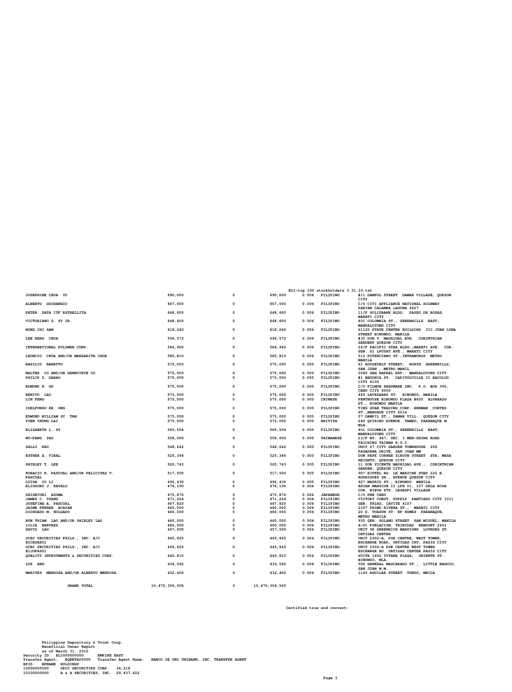**Certified true and correct:**

**ELI-top 100 stockholders 3.31.10.txt**

**STREET BINONDO, MANILA LEE KENG CHUA 596,572 0 596,572 0.006 FILIPINO #35 DON V. MADRIGAL AVE. CORINTHIAN GARDENS QUEZON CITY INTERNATIONAL POLYMER CORP. 586,960 0 586,960 0.006 FILIPINO 26/F PACIFIC STAR BLDG.,MAKATI AVE. COR. SEN. GI LPUYAT AVE., MAKATI CITY LEONCIO CHUA AND/OR MARGARITA CHUA 585,810 0 585,810 0.006 FILIPINO 512 POTENCIANO ST.,INTRAMUROS METRO** BASILIO BARETTO<br>WALTER CO AND/OR GENEVIEVE CONNECTIVE CONSULTED USING USE TO STRAGGED USING STRAGGED ON THE STRAGGED ON STRAGGED ON<br>PHILIP Z. DABAO (DOSEVELT STREET, MANDALUYONG CITY)<br>PHILIP Z. DABAO (DENEVIEVE CONNECTIVE **CEBU CITY 6000 BENITO LAO 575,000 0 575,000 0.005 FILIPINO 485 LAVEZARES ST. BINONDO, MANILA LIN FENG 575,000 0 575,000 0.005 CHINESE PENTHOUSE BINONDO PLAZA #850 ALVARADO** ST., BINONDO MANILA<br>1999 - 575,000 575,000 0.005 FILIPINO TING GUAN TRADING CORP. HERMAN CORTES EDMUND WILLIAM SY TAN WAR TERM ON THE STROOM OF STROOM ON STROOM ON STRIPINO ST., MANDAUE CITY 6014<br>ST5,000 575,000 0.005 BITISH 5240 QUIRINO AVENUE TAMBO, PARANAQUE M.<br>YUEN CHUNG LAI TAMBO, PARANAQUE M. STROOM OS STROOM O **MLA. ELIZABETH L. SY 565,504 0 565,504 0.005 FILIPINO 401 COLUMBIA ST., GREENHILLS EAST, MANDALUYONG CITY WU-PANG YAO 558,000 0 558,000 0.005 TAIWANESE 23/F NO. 447, SEC. 3 WEN-SHING ROAD TAICHING TAIWAN R.O.C. SALLY KHO 548,642 0 548,642 0.005 FILIPINO UNIT 27 CITY GARDEN TOWNHOUSE 208** ESTHER A. VIBAL (IN SAN DRIVE, SAN JUAN MM) 525,366 (SPALE) 525,366 (SPALE) 9 DON PASADENA DRIVE, SAN JUAN MM<br>1997 - 525,366 (SPALE) 525,366 (SPALE) 525,366 (SPALE) 525,366 (SPALE) 525,366 (SPALE) DON PEET SAN STREET STA<br>1 **SHIRLEY T. LEE 520,743 0 520,743 0.005 FILIPINO 11 DON VICENTE MADRIGAL AVE., CORINTHIAN GARDEN, QUEZON CITY HORACIO E. PASCUAL AND/OR FELICITAS V. 517,500 0 517,500 0.005 FILIPINO 907 EIFFEL RD. LE MARICHE SUBD 222 E. PASCUAL RODRIGUEZ SR., AVENUE QUEZON CITY LUISA CO LI 492,430 0 492,430 0.005 FILIPINO 627 MADRID ST., BINONDO MANILA ELIODORO J. RAVALO 476,100 0 476,100 0.004 FILIPINO ASIAN MANSION II LPH 01, 107 DELA ROSA COR. NIEVA STS. LEGASPI VILLAGE SHIGEYUKI AZUMA 475,870 0 475,870 0.004 JAPANESE C/O PNB CEBU JAMES C. TSANG 471,224 0 471,224 0.004 FILIPINO VICTORY CONST. SUPPLY SANTIAGO CITY 3311 JOSEFINA A. PASCUAL 467,820 0 467,820 0.004 FILIPINO GEN. TRIAS, CAVITE 4107 JAIME FERRER ACAYAN 460,000 0 460,000 0.004 FILIPINO 2187 PRIMO RIVERA ST., MAKATI CITY DIOSDADO M. HOLGADO 460,000 0 460,000 0.004 FILIPINO 20 D. TUASON ST. BF HOMES PARANAQUE, METRO MANILA** 1997 BUN THIAM LAO AND/OR SHIRLEY LAO (100 MATILA 460,000 0 MATILO 1000 0.004 FILIPINO 235 GEN. SOLANO STREET SAN MIGUEL, MANILA 460,000 0 0 460,000 0.004 FILIPINO 355 GEN. SOLANO STREET SAN MIGUEL, MANILA 460,000 0 460,00 **LILIA NARVAEZ 460,000 0 460,000 0.004 FILIPINO A-01 POBLACION, TRINIDAD BENGUET 2601 DAVID LAO 457,500 0 457,500 0.004 FILIPINO UNIT 9D GREENRICH MANSIONS LOURDES ST. ORTIGAS CENTER**<br>UNIT 2502-A PSE CENTER WEST TOWER **CCBC SECURITIES PHILS., INC. A/C 445,625 1.000 445,625 1.000 445,625 1.000 445,625 0.004 FILIPINO OCBC SECURITIES PHILS., INC. A/C 445,625 1.000 445,625 1.000 445,625 1.000 #ICESAR01 EXCHANGE ROAD, ORTIGAS CRT, PASIG CITY OCBC SECURITIES PHILS., INC. A/C 445,625 0 445,625 0.004 FILIPINO UNIT 2502-A PSE CENTRE WEST TOWER #IJOPAS01 EXCHANGE RD. ORTIGAS CENTER PASIG CITY QUALITY INVESTMENTS & SECURITIES CORP. 440,810 0 440,810 0.004 FILIPINO SUITE 1602 TYTANA PLAZA, ORIENTE ST. BINONDO, MLA. LUZ ANG 434,562 0 434,562 0.004 FILIPINO 506 GENERAL MASCARADO ST., LITTLE BAGUIO, SAN JUAN M.M. MARITES MENDOZA AND/OR ALBERTO MENDOZA 432,400 0 432,400 0.004 FILIPINO 1145 AGUILAR STREET TONDO, MNILA GRAND TOTAL 10,470,356,505 0 10,470,356,505**

**JOSEPHINE CHUA YU 690,000 0 690,000 0.006 FILIPINO #11 DAMPOL STREET DAMAR VILLAGE, QUEZON CITY ALBERTO GOCHANGCO 667,000 0 667,000 0.006 FILIPINO C/O CITI APPLIANCE NATIONAL HIGHWAY PARIAN CALAMBA LAGUNA 4027 PETER DATA ITF ESTRELLITA 648,600 0 648,600 0.006 FILIPINO 11/F SOLIDBANK BLDG. PASEO DE ROXAS, MAKATI CITY VICTORIANO G. SY JR. 648,600 0 648,600 0.006 FILIPINO 401 COLUMBIA ST., GREENHILLS EAST, MANDALUYONG CITY WONG CHI SAM 618,240 0 618,240 0.006 FILIPINO S1120 STATE CENTER BUILDING 333 JUAN LUNA**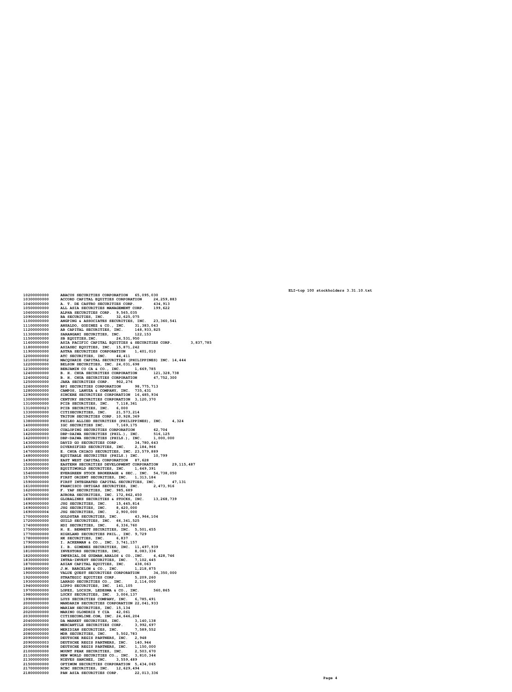A. T. DE CASTRO SECURITIES CORP. **3 4 , 9 1 3 ALL ASIA SECURITIES MANAGEMENT CORP.<br>ALPHA SECURITIES CORP. 9,565,035<br>BA SECURITIES, INC. 32,625,075 9 9 , 6 2 2** ANGPING & ASSOCIATES SECURITIES, INC. 23,3<br>ANSALDO, GODINEZ & CO., INC. 31,383,043<br>AB CAPITAL SECURITIES, INC. 148,933,825<br>SARANGANI SECURITIES, INC. 122,153<br>SB EQUITIES, INC. 24,531,950<br>ASIA PACIFIC CAPITAL EQUITIES & SEC **0 , 5 4 1 ASIA PACIFIC CAPITAL EQUITIES & SECURITIES CORP.<br>ASIASEC EQUITIES, INC. 15,871,242<br>ASTRA SECURITIES CORPORATION 1,401,010<br>ATC SECURITIES, INC. 44,411 , 8 3 7 , 7 8 5 MACQUARIE CAPITAL SECURITIES (PHILIPPINES) INC. 14,444<br>BELSON SECURITIES, INC. 24,031,698<br>BENJAMIN CO CA & CO., INC.<br>B. H. CHUA SECURITIES CORPORATION 121,328,738** B. H. CHUA SECURITIES CORPORATION 47,752,300<br>JAKA SECURITIES CORP. 902,276<br>BPI SECURITIES CORPORATION 98,775,713<br>CAMPOS, LANUZA & COMPANY, INC. 735,431<br>SINCERE SECURITIES CORPORATION 16,485,934<br>CENTURY SECURITIES CORPORATI DBP-DAIWA SECURITIES (PHIL.), INC. 516,12<br>DAVID GO SECURITIES (PHILS.), INC. 1,000,<br>DAVID GO SECURITIES CORP. 34,780,643<br>DIVERSIFIED SECURITIES, INC. 2,184,966<br>E. CHUA CHIACO SECURITIES, INC. 23,579,889<br>EQUITABLE SECURITIE **0 0 0 EASTERN SECURITIES DEVELOPMENT CORPORATION 29**<br>EQUITIWORLD SECURITIES, INC. 1,649,391<br>EVERGREEN STOCK BROKERAGE & SEC., INC. 54,738,050<br>FIRST ORIENT SECURITIES, INC. 1,313,184<br>FIRST INTEGRATED CAPITAL SECURITIES, INC. 47 **, 1 1 5 , 4 8 7 , 1 3 1** FRANCISCO ORTIGAS SECURITIES, INC.<br>F. YAP SECURITIES, INC. 985,689<br>AURORA SECURITIES, INC. 172,862,450 **, 4 7 3 , 9 1 6** GLOBALINKS SECURITIES & STOCKS, INC.<br>JSG SECURITIES, INC. 15,445,814<br>JSG SECURITIES, INC. 8,420,000<br>JSG SECURITIES, INC. 8,420,000<br>GOLDSTAR SECURITIES, INC. 2,900,000<br>GUILD SECURITIES, INC. 66,341,525<br>HIGILIAND SECURITIES, **, 2 6 8 , 7 3 9** 43.964.104 **H K S E C U R I T I E S , I N C . 6 , 8 3 7 I . A C K E RMAN & C O . , I N C . 3 , 7 4 1 , 1 5 7 I . B . G I ME N E Z S E C U R I T I E S , I N C . 1 1 , 4 9 7 , 9 3 9 I NVE S T O R S S E C U R I T I E S , I N C , 8 , 0 8 3 , 3 3 6 I MP E R I A L , D E G U Z MAN , AB A L O S & C O . , I N C . 4 , 2 8 , 7 4 6 INTRA-INVEST SECURITIES, INC. 7,102,445<br>ASIAN CAPITAL EQUITIES, INC. 438,063<br>J.M. BARCELON & CO., INC. 1,218,875<br>VALUE QUEST SECURITIES CORPORATION 3** VALUE QUEST SECURITIES CORPORATION 34<br>STRATEGIC EQUITIES COR. 5,209,260<br>LARRGO SECURITIES CO., INC. 2,114,000<br>LIPPO SECURITIES, INC. 141,105<br>LOPEZ, LOCSIN, LEDESMA & CO., INC. 56<br>LUCKY SECURITIES, INC. 3,006,137<br>LUCKY SECU **, 3 5 0 , 0 0 0 , 8 6 5 MARIAN SECURITIES, INC. 15,134<br>MARINO OLONDRIZ Y CIA 42,061<br>CITISECONLINE.COM, INC. 24,646,204<br>DA MARKET SECURITIES, INC. 3,140,138<br>MERCANTILE SECURITIES CORP. 3,992,697 MERIDIAN SECURITIES, INC. 7,589,5<br>MDR SECURITIES, INC. 5,502,783<br>DEUTSCHE REGIS PARTNERS, INC. 2,948<br>DEUTSCHE REGIS PARTNERS, INC. 140,944 2** DEUTSCHE REGIS PARTNERS, INC. **, 1 5 0 , 0 0 0 MOUNT PEAK SECURITIES, INC. 2<br>NEW WORLD SECURITIES CO., INC. 3<br>NIEVES SANCHEZ, INC. 3,559,489 , 5 0 3 , 6 7 0 , 8 1 0 , 3 4 4** OPTIMUM SECURITIES CORPORATION 5,434,065 RCBC SECURITIES, INC. 12,629,494<br>PAN ASIA SECURITIES CORP. 22 **, 0 1 3 , 3 3 6**

**0 2 0 0 0 0 0 0 0 0**

**0 3 0 0 0 0 0 0 0 0**

**0 4 0 0 0 0 0 0 0 0**

**0 5 0 0 0 0 0 0 0 0 1 0 6 0 0 0 0 0 0 0 0**

 **0 9 0 0 0 0 0 0 0 0 1 0 0 0 0 0 0 0 0 0**

 **1 1 0 0 0 0 0 0 0 0 1 1 2 0 0 0 0 0 0 0 0 1 3 0 0 0 0 0 0 0 0 1 5 0 0 0 0 0 0 0 0 1 6 0 0 0 0 0 0 0 0 1 8 0 0 0 0 0 0 0 0**

 **1 9 0 0 0 0 0 0 0 0 2 0 0 0 0 0 0 0 0 0 1 2 1 0 0 0 0 0 0 0 2 2 2 0 0 0 0 0 0 0 0**

 **2 3 0 0 0 0 0 0 0 0 2 4 0 0 0 0 0 0 0 0 2 4 0 0 0 0 0 0 0 2 1 2 5 0 0 0 0 0 0 0 0**

 **4 3 0 0 0 0 0 0 0 0 4 5 0 0 0 0 0 0 0 0 4 7 0 0 0 0 0 0 0 0 1 4 8 0 0 0 0 0 0 0 0 4 9 0 0 0 0 0 0 0 0 5 0 0 0 0 0 0 0 0 0**

 **5 3 0 0 0 0 0 0 0 0 1 5 4 0 0 0 0 0 0 0 0 5 7 0 0 0 0 0 0 0 0 5 9 0 0 0 0 0 0 0 0**

**6 1 0 0 0 0 0 0 0 0 1 6 2 0 0 0 0 0 0 0 0**

 **6 7 0 0 0 0 0 0 0 0 6 8 0 0 0 0 0 0 0 0**

**1 6 9 0 0 0 0 0 0 0 0 6 9 0 0 0 0 0 0 0 3 6 9 0 0 0 0 0 0 0 4 1 7 0 0 0 0 0 0 0 0 0**

 **7 2 0 0 0 0 0 0 0 0 7 4 0 0 0 0 0 0 0 0 1 7 5 0 0 0 0 0 0 0 0 7 7 0 0 0 0 0 0 0 0 7 8 0 0 0 0 0 0 0 0**

 **7 9 0 0 0 0 0 0 0 0 1 8 0 0 0 0 0 0 0 0 0 8 1 0 0 0 0 0 0 0 0 8 2 0 0 0 0 0 0 0 0**

**8 3 0 0 0 0 0 0 0 0 1 8 7 0 0 0 0 0 0 0 0**

 **8 8 0 0 0 0 0 0 0 0 9 0 0 0 0 0 0 0 0 0**

 **9 2 0 0 0 0 0 0 0 0 1 9 3 0 0 0 0 0 0 0 0 9 4 0 0 0 0 0 0 0 0 9 7 0 0 0 0 0 0 0 0**

 **9 8 0 0 0 0 0 0 0 0 1 9 9 0 0 0 0 0 0 0 0 0 0 0 0 0 0 0 0 0 0 0 1 0 0 0 0 0 0 0 0**

 **0 2 0 0 0 0 0 0 0 0 2 0 3 0 0 0 0 0 0 0 0 0 4 0 0 0 0 0 0 0 0 0 5 0 0 0 0 0 0 0 0 0 6 0 0 0 0 0 0 0 0**

 **0 8 0 0 0 0 0 0 0 0 2 0 9 0 0 0 0 0 0 0 0 0 9 0 0 0 0 0 0 0 3 0 9 0 0 0 0 0 0 0 8**

**1 0 0 0 0 0 0 0 0 0**

 **1 1 0 0 0 0 0 0 0 0 1 3 0 0 0 0 0 0 0 0 1 5 0 0 0 0 0 0 0 0**

**1 7 0 0 0 0 0 0 0 0**

**1 8 0 0 0 0 0 0 0 0**

ABACUS SECURITIES CORPORATION 65,<br>ACCORD CAPITAL EQUITIES CORPORATION

**9 5 , 0 3 0**

**4 , 2 5 9 , 8 8 3**

ELI-top 100 stockholders 3.31.10.txt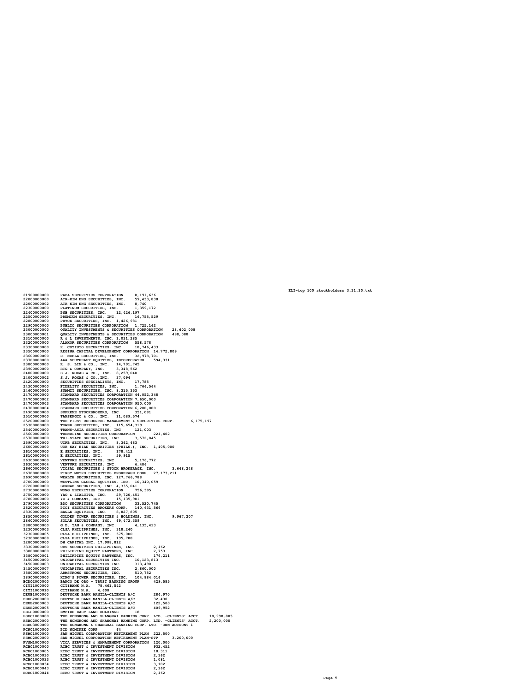PLATINUM SECURITIES, INC. 1, 359, 172<br>PREMIUM SECURITIES, INC. 12, 426, 197<br>PREMIUM SECURITIES, INC. 16, 755, 529<br>PRYCE SECURITIES, INC. 1, 426, 981<br>PUBLIC SECURITIES CORPORATION 1, 725, 162<br>QUALITY INVESTMENTS & SECURITIE **8 , 6 0 2 , 0 0 8 9 8 , 0 8 8** R & L INVESTMENTS, INC. 1,031,285<br>ALAKOR SECURITIES CORPORATION 558,578<br>R. COYIUTO SECURITIES, INC. 18,746,433<br>REGINA CAPITAL DEVELOPMENT CORPORATION 14,772,809 R. NUBLA SECURITIES, INC. 32, 978, 701<br>AAA SOUTHEAST EQUITIES, INCORPORATED 59<br>R. S. LIM & CO., INC. 14, 791, 745<br>RTG & COMPANY, INC. 3, 348, 562<br>S.J. ROXAS & CO., INC. 8, 259, 040<br>S.J. ROXAS & CO., INC. 37, 094<br>SECURITIES **, 3 3 1** SUPREME STOCKBROKERS, INC.<br>
TANSENGO 6 CO., INC. 11, 089, 574<br>
THE FIRST RESOURCES MANAGEMENT 6 SECURITIES CORP.<br>
THE FIRST RESOURCES MANAGEMENT 6 SECURITIES CORP.<br>
TRANS-ASIA SECURITIES, INC. 115, 654, 319<br>
TRANS-ASIA SEC **, 1 7 5 , 1 9 7 8 , 2 4 8** GOLDEN TOWER SECURITIES & HOLDINGS,<br>SOLDEN SECURITIES, INC. 69,472, 359<br>C.D. TAN & COMPANY, INC. 318,240<br>CLSA PHILIPPINES, INC. 318,240<br>CLSA PHILIPPINES, INC. 575,000<br>CLSA PHILIPPINES, INC. 575,000<br>CLSA PHILIPPINES, INC. 1 **7 , 2 0 7 5 , 4 1 3 , 1 6 2 2 , 7 5 3 7 6 , 2 1 1 2 3 , 8 1 3 , 4 9 0 6 0 , 0 0 0 , 7 5 2 KING'S POWER SECURITIES, INC.<br>BANCO DE ORO - TRUST BANKING<br>CITIBANK N.A. 78,461,542<br>CITIBANK N.A. 4,600 0 4 , 8 8 4 , 0 1 6 G R O U P 2 9 , 5 8 5** DEUTSCHE BANK MANILA-CLIENTS A/C<br>DEUTSCHE BANK MANILA-CLIENTS A/C<br>DEUTSCHE BANK MANILA-CLIENTS A/C **8 4 , 9 7 0 3 2 , 4 3 0 1 2 2 , 5 0 0 DEUTSCHE BANK MANILA-CLIENTS A/C 0 9 , 9 5 2 E MP I RE E A S T L AN D H O L D I N G S 1 8 T H E H O N G K O N G AN D S H AN G H A I B AN K I N G C O RP . L T D . - C L I E N T S ' A C C T . 8 , 9 9 8 , 8 0 5** THE HONGKONG AND SHANGHAI BANKING CORP. LTD. -CLIENTS' ACCT.<br>THE HONGKONG & SHANGHAI BANKING CORP. LTD. -OWN ACCOUNT 1 **, 2 0 0 , 0 0 0 P C D N O M I N E E C O RP 6 4 S AN M I G U E L C O RP O RA T I O N RE T I RE ME N T P L AN 2 2 2 , 5 0 0 S AN M I G U E L C O RP O RA T I O N RE T I RE ME N T P L AN - S T P 3 , 2 0 0 , 0 0 0 V I C A S E RV I C E S & MANA G E ME N T C O RP O RA T I O N 1 2 0 , 0 0 0** RCBC TRUST & INVESTMENT DIVISION **3 2 , 4 5 2** RCBC TRUST & INVESTMENT DIVISION<br>RCBC TRUST & INVESTMENT DIVISION **8 , 3 1 1 2 , 1 6 2**  $R$ CBC TRUST & INVESTMENT DIVISION **, 0 8 1**  $R$ CBC TRUST & INVESTMENT DIVISION **, 1 0 2** RCBC TRUST & INVESTMENT DIVISION<br>RCBC TRUST & INVESTMENT DIVISION **2 , 1 6 2 , 1 6 2**

**, 1 9 1 , 6 3 6 5 9 , 4 3 3 , 8 3 8 8 , 7 4 0**

**1 9 0 0 0 0 0 0 0 0**

 **2 0 0 0 0 0 0 0 0 0 2 0 0 0 0 0 0 0 0 2 2 3 0 0 0 0 0 0 0 0**

 **2 4 0 0 0 0 0 0 0 0 2 5 0 0 0 0 0 0 0 0 2 8 0 0 0 0 0 0 0 0 2 9 0 0 0 0 0 0 0 0 2 3 0 0 0 0 0 0 0 0 0**

**3 0 0 0 0 0 0 0 0 1**

**3 1 0 0 0 0 0 0 0 0**

 **3 2 0 0 0 0 0 0 0 0 2 3 3 0 0 0 0 0 0 0 0 3 5 0 0 0 0 0 0 0 0 3 6 0 0 0 0 0 0 0 0**

**3 7 0 0 0 0 0 0 0 0 2 3 8 0 0 0 0 0 0 0 0**

**2 5 1 0 0 0 0 0 0 0 0 5 2 0 0 0 0 0 0 0 0**

 **8 6 0 0 0 0 0 0 0 0 8 8 0 0 0 0 0 0 0 0 3 2 3 0 0 0 0 0 0 0 3**

 **2 3 0 0 0 0 0 0 0 5 2 3 0 0 0 0 0 0 0 8 3 2 8 0 0 0 0 0 0 0 0 3 3 0 0 0 0 0 0 0 0**

**3 8 0 0 0 0 0 0 0 0**

 **3 8 0 0 0 0 0 0 0 1 4 5 0 0 0 0 0 0 0 0 3 4 5 0 0 0 0 0 0 0 3**

 **4 5 0 0 0 0 0 0 0 7 8 8 0 0 0 0 0 0 0 0**

**8 9 0 0 0 0 0 0 0 0**

**C I T I 1 0 0 0 0 0 0 C I T I 1 0 0 0 0 1 0 D E U B 1 0 0 0 0 0 0**

**D E U B 2 0 0 0 0 0 0 D E U B 2 0 0 0 0 0 3 D E U B 2 0 0 0 0 0 5**

**E E L H 0 0 0 0 0 0 0**

**H S B C 1 0 0 0 0 0 0**

**H S B C 2 0 0 0 0 0 0 H S B C 3 0 0 0 0 0 0**

**P C N C 1 0 0 0 0 0 0**

**P S M C 1 0 0 0 0 0 0 P S M C 2 0 0 0 0 0 0 P V S M 1 0 0 0 0 0 0 R C B C 1 0 0 0 0 0 0**

**R C B C 1 0 0 0 0 0 5**

**R C B C 1 0 0 0 0 3 0 R C B C 1 0 0 0 0 3 3**

**R C B C 1 0 0 0 0 3 4**

**R C B C 1 0 0 0 0 4 3**

**R C B C 1 0 0 0 0 4 4**

**B C D O**  PAPA SECURITIES CORPORATION<br>ATR-KIM ENG SECURITIES, INC.<br>ATR KIM ENG SECURITIES, INC.

ELI-top 100 stockholders 3.31.10.txt